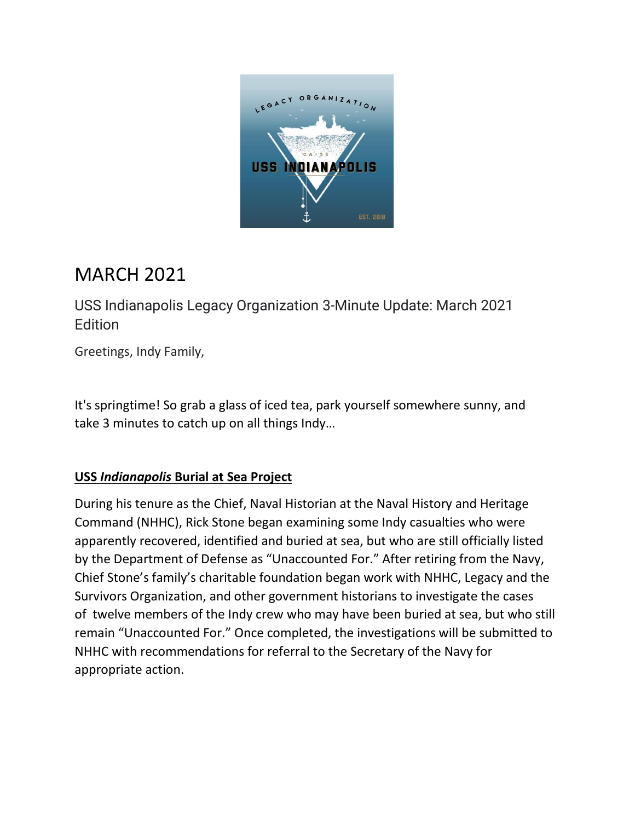

# MARCH 2021

USS Indianapolis Legacy Organization 3-Minute Update: March 2021 Edition

Greetings, Indy Family,

It's springtime! So grab a glass of iced tea, park yourself somewhere sunny, and take 3 minutes to catch up on all things Indy…

## **USS** *Indianapolis* **Burial at Sea Project**

During his tenure as the Chief, Naval Historian at the Naval History and Heritage Command (NHHC), Rick Stone began examining some Indy casualties who were apparently recovered, identified and buried at sea, but who are still officially listed by the Department of Defense as "Unaccounted For." After retiring from the Navy, Chief Stone's family's charitable foundation began work with NHHC, Legacy and the Survivors Organization, and other government historians to investigate the cases of twelve members of the Indy crew who may have been buried at sea, but who still remain "Unaccounted For." Once completed, the investigations will be submitted to NHHC with recommendations for referral to the Secretary of the Navy for appropriate action.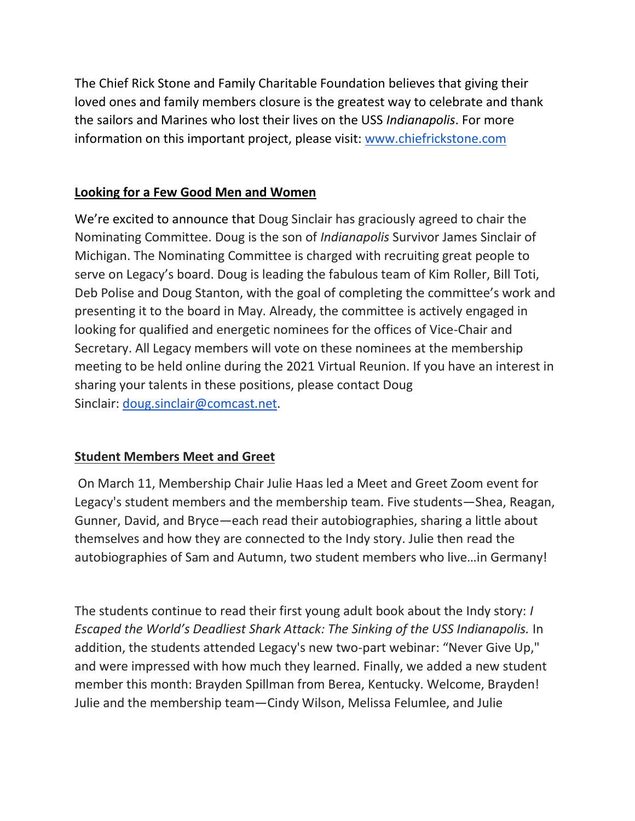The Chief Rick Stone and Family Charitable Foundation believes that giving their loved ones and family members closure is the greatest way to celebrate and thank the sailors and Marines who lost their lives on the USS *Indianapolis*. For more information on this important project, please visit: [www.chiefrickstone.com](https://www.chiefrickstone.com/?page_id=127179)

### **Looking for a Few Good Men and Women**

We're excited to announce that Doug Sinclair has graciously agreed to chair the Nominating Committee. Doug is the son of *Indianapolis* Survivor James Sinclair of Michigan. The Nominating Committee is charged with recruiting great people to serve on Legacy's board. Doug is leading the fabulous team of Kim Roller, Bill Toti, Deb Polise and Doug Stanton, with the goal of completing the committee's work and presenting it to the board in May. Already, the committee is actively engaged in looking for qualified and energetic nominees for the offices of Vice-Chair and Secretary. All Legacy members will vote on these nominees at the membership meeting to be held online during the 2021 Virtual Reunion. If you have an interest in sharing your talents in these positions, please contact Doug Sinclair: [doug.sinclair@comcast.net.](mailto:doug.sinclair@comcast.net)

## **Student Members Meet and Greet**

On March 11, Membership Chair Julie Haas led a Meet and Greet Zoom event for Legacy's student members and the membership team. Five students—Shea, Reagan, Gunner, David, and Bryce—each read their autobiographies, sharing a little about themselves and how they are connected to the Indy story. Julie then read the autobiographies of Sam and Autumn, two student members who live…in Germany!

The students continue to read their first young adult book about the Indy story: *I Escaped the World's Deadliest Shark Attack: The Sinking of the USS Indianapolis.* In addition, the students attended Legacy's new two-part webinar: "Never Give Up," and were impressed with how much they learned. Finally, we added a new student member this month: Brayden Spillman from Berea, Kentucky. Welcome, Brayden! Julie and the membership team—Cindy Wilson, Melissa Felumlee, and Julie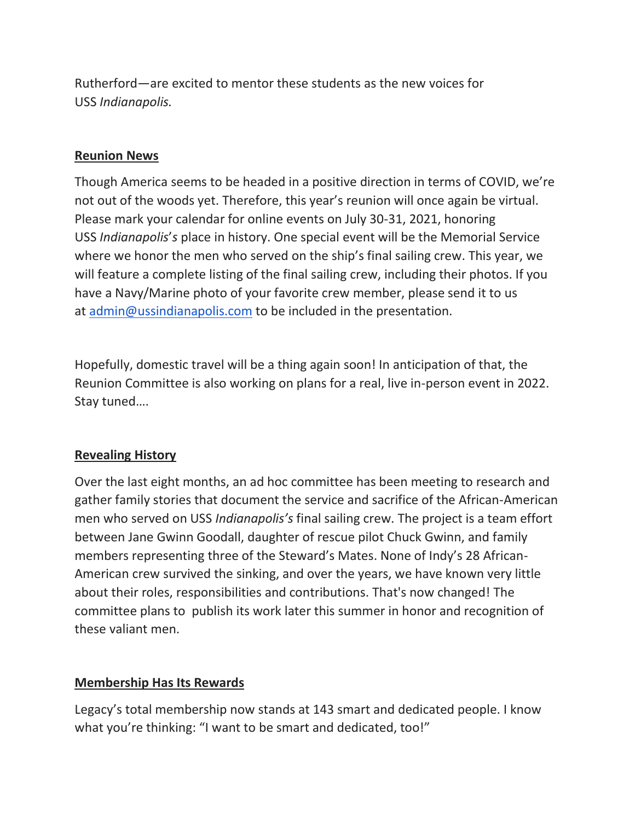Rutherford—are excited to mentor these students as the new voices for USS *Indianapolis.*

#### **Reunion News**

Though America seems to be headed in a positive direction in terms of COVID, we're not out of the woods yet. Therefore, this year's reunion will once again be virtual. Please mark your calendar for online events on July 30-31, 2021, honoring USS *Indianapolis*'*s* place in history. One special event will be the Memorial Service where we honor the men who served on the ship's final sailing crew. This year, we will feature a complete listing of the final sailing crew, including their photos. If you have a Navy/Marine photo of your favorite crew member, please send it to us at [admin@ussindianapolis.com](mailto:admin@ussindianapolis.com) to be included in the presentation.

Hopefully, domestic travel will be a thing again soon! In anticipation of that, the Reunion Committee is also working on plans for a real, live in-person event in 2022. Stay tuned….

#### **Revealing History**

Over the last eight months, an ad hoc committee has been meeting to research and gather family stories that document the service and sacrifice of the African-American men who served on USS *Indianapolis's* final sailing crew. The project is a team effort between Jane Gwinn Goodall, daughter of rescue pilot Chuck Gwinn, and family members representing three of the Steward's Mates. None of Indy's 28 African-American crew survived the sinking, and over the years, we have known very little about their roles, responsibilities and contributions. That's now changed! The committee plans to publish its work later this summer in honor and recognition of these valiant men.

#### **Membership Has Its Rewards**

Legacy's total membership now stands at 143 smart and dedicated people. I know what you're thinking: "I want to be smart and dedicated, too!"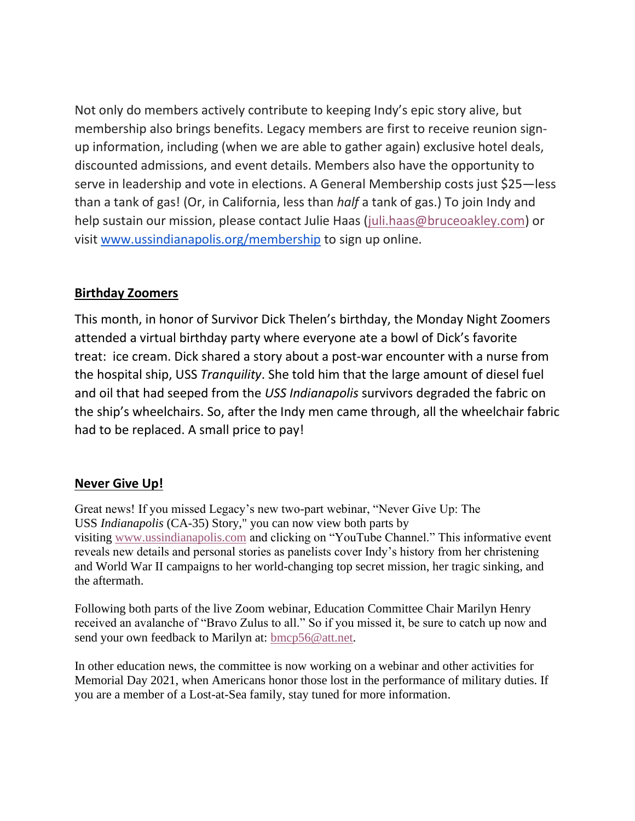Not only do members actively contribute to keeping Indy's epic story alive, but membership also brings benefits. Legacy members are first to receive reunion signup information, including (when we are able to gather again) exclusive hotel deals, discounted admissions, and event details. Members also have the opportunity to serve in leadership and vote in elections. A General Membership costs just \$25—less than a tank of gas! (Or, in California, less than *half* a tank of gas.) To join Indy and help sustain our mission, please contact Julie Haas [\(juli.haas@bruceoakley.com\)](mailto:juli.haas@bruceoakley.com) or visit [www.ussindianapolis.org/membership](http://www.ussindianapolis.org/membership) to sign up online.

#### **Birthday Zoomers**

This month, in honor of Survivor Dick Thelen's birthday, the Monday Night Zoomers attended a virtual birthday party where everyone ate a bowl of Dick's favorite treat: ice cream. Dick shared a story about a post-war encounter with a nurse from the hospital ship, USS *Tranquility*. She told him that the large amount of diesel fuel and oil that had seeped from the *USS Indianapolis* survivors degraded the fabric on the ship's wheelchairs. So, after the Indy men came through, all the wheelchair fabric had to be replaced. A small price to pay!

#### **Never Give Up!**

Great news! If you missed Legacy's new two-part webinar, "Never Give Up: The USS *Indianapolis* (CA-35) Story," you can now view both parts by visiting [www.ussindianapolis.com](http://www.ussindianapolis.com/) and clicking on "YouTube Channel." This informative event reveals new details and personal stories as panelists cover Indy's history from her christening and World War II campaigns to her world-changing top secret mission, her tragic sinking, and the aftermath.

Following both parts of the live Zoom webinar, Education Committee Chair Marilyn Henry received an avalanche of "Bravo Zulus to all." So if you missed it, be sure to catch up now and send your own feedback to Marilyn at: [bmcp56@att.net.](mailto:bmcp56@att.net)

In other education news, the committee is now working on a webinar and other activities for Memorial Day 2021, when Americans honor those lost in the performance of military duties. If you are a member of a Lost-at-Sea family, stay tuned for more information.